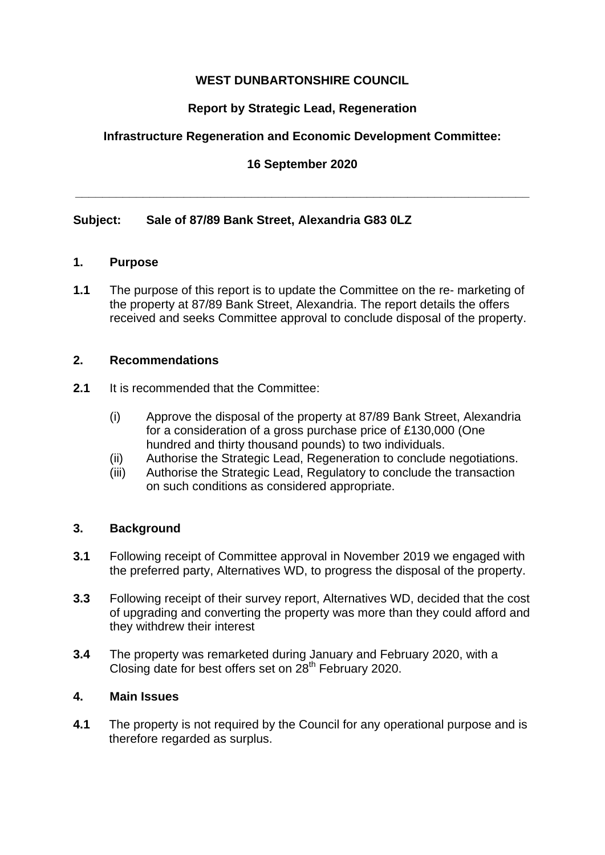## **WEST DUNBARTONSHIRE COUNCIL**

# **Report by Strategic Lead, Regeneration**

# **Infrastructure Regeneration and Economic Development Committee:**

## **16 September 2020**

**\_\_\_\_\_\_\_\_\_\_\_\_\_\_\_\_\_\_\_\_\_\_\_\_\_\_\_\_\_\_\_\_\_\_\_\_\_\_\_\_\_\_\_\_\_\_\_\_\_\_\_\_\_\_\_\_\_\_\_\_\_\_\_\_\_\_\_**

## **Subject: Sale of 87/89 Bank Street, Alexandria G83 0LZ**

## **1. Purpose**

**1.1** The purpose of this report is to update the Committee on the re- marketing of the property at 87/89 Bank Street, Alexandria. The report details the offers received and seeks Committee approval to conclude disposal of the property.

## **2. Recommendations**

- **2.1** It is recommended that the Committee:
	- (i) Approve the disposal of the property at 87/89 Bank Street, Alexandria for a consideration of a gross purchase price of £130,000 (One hundred and thirty thousand pounds) to two individuals.
	- (ii) Authorise the Strategic Lead, Regeneration to conclude negotiations.
	- (iii) Authorise the Strategic Lead, Regulatory to conclude the transaction on such conditions as considered appropriate.

## **3. Background**

- **3.1** Following receipt of Committee approval in November 2019 we engaged with the preferred party, Alternatives WD, to progress the disposal of the property.
- **3.3** Following receipt of their survey report, Alternatives WD, decided that the cost of upgrading and converting the property was more than they could afford and they withdrew their interest
- **3.4** The property was remarketed during January and February 2020, with a Closing date for best offers set on 28<sup>th</sup> February 2020.

## **4. Main Issues**

**4.1** The property is not required by the Council for any operational purpose and is therefore regarded as surplus.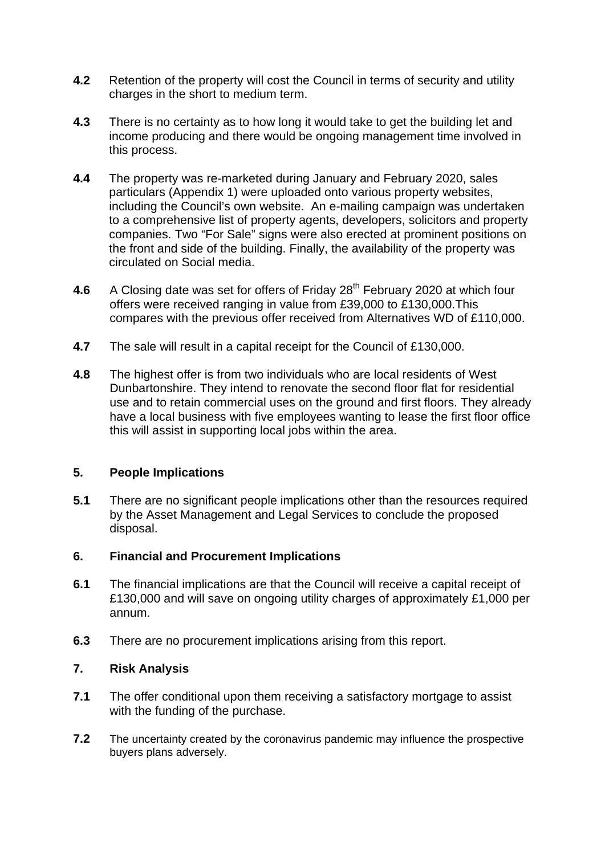- **4.2** Retention of the property will cost the Council in terms of security and utility charges in the short to medium term.
- **4.3** There is no certainty as to how long it would take to get the building let and income producing and there would be ongoing management time involved in this process.
- **4.4** The property was re-marketed during January and February 2020, sales particulars (Appendix 1) were uploaded onto various property websites, including the Council's own website. An e-mailing campaign was undertaken to a comprehensive list of property agents, developers, solicitors and property companies. Two "For Sale" signs were also erected at prominent positions on the front and side of the building. Finally, the availability of the property was circulated on Social media.
- **4.6** A Closing date was set for offers of Friday 28<sup>th</sup> February 2020 at which four offers were received ranging in value from £39,000 to £130,000.This compares with the previous offer received from Alternatives WD of £110,000.
- **4.7** The sale will result in a capital receipt for the Council of £130,000.
- **4.8** The highest offer is from two individuals who are local residents of West Dunbartonshire. They intend to renovate the second floor flat for residential use and to retain commercial uses on the ground and first floors. They already have a local business with five employees wanting to lease the first floor office this will assist in supporting local jobs within the area.

#### **5. People Implications**

**5.1** There are no significant people implications other than the resources required by the Asset Management and Legal Services to conclude the proposed disposal.

## **6. Financial and Procurement Implications**

- **6.1** The financial implications are that the Council will receive a capital receipt of £130,000 and will save on ongoing utility charges of approximately £1,000 per annum.
- **6.3** There are no procurement implications arising from this report.

## **7. Risk Analysis**

- **7.1** The offer conditional upon them receiving a satisfactory mortgage to assist with the funding of the purchase.
- **7.2** The uncertainty created by the coronavirus pandemic may influence the prospective buyers plans adversely.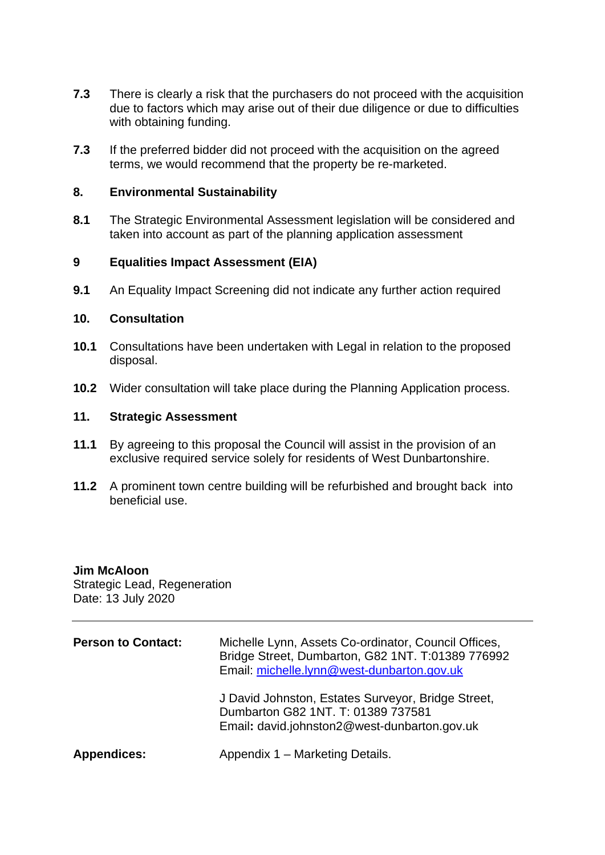- **7.3** There is clearly a risk that the purchasers do not proceed with the acquisition due to factors which may arise out of their due diligence or due to difficulties with obtaining funding.
- **7.3** If the preferred bidder did not proceed with the acquisition on the agreed terms, we would recommend that the property be re-marketed.

#### **8. Environmental Sustainability**

**8.1** The Strategic Environmental Assessment legislation will be considered and taken into account as part of the planning application assessment

### **9 Equalities Impact Assessment (EIA)**

**9.1** An Equality Impact Screening did not indicate any further action required

#### **10. Consultation**

- **10.1** Consultations have been undertaken with Legal in relation to the proposed disposal.
- **10.2** Wider consultation will take place during the Planning Application process.

## **11. Strategic Assessment**

- **11.1** By agreeing to this proposal the Council will assist in the provision of an exclusive required service solely for residents of West Dunbartonshire.
- **11.2** A prominent town centre building will be refurbished and brought back into beneficial use.

#### **Jim McAloon** Strategic Lead, Regeneration Date: 13 July 2020

| <b>Person to Contact:</b> | Michelle Lynn, Assets Co-ordinator, Council Offices,<br>Bridge Street, Dumbarton, G82 1NT. T:01389 776992<br>Email: michelle.lynn@west-dunbarton.gov.uk |
|---------------------------|---------------------------------------------------------------------------------------------------------------------------------------------------------|
|                           | J David Johnston, Estates Surveyor, Bridge Street,<br>Dumbarton G82 1NT. T: 01389 737581<br>Email: david.johnston2@west-dunbarton.gov.uk                |
| <b>Appendices:</b>        | Appendix 1 – Marketing Details.                                                                                                                         |